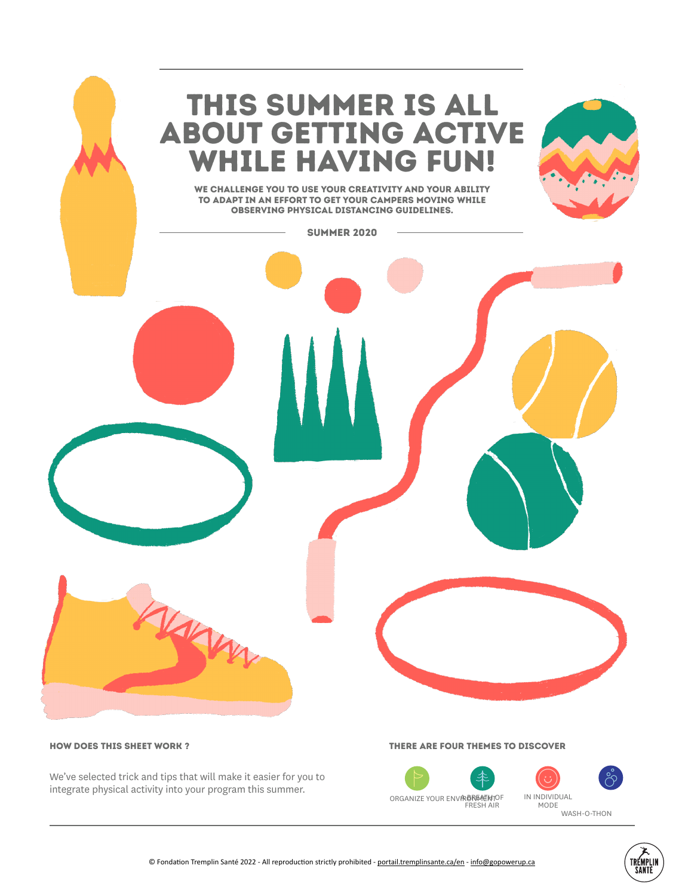

We've selected trick and tips that will make it easier for you to integrate physical activity into your program this summer.

## THERE ARE FOUR THEmes to discover

ORGANIZE YOUR ENVIRONE AT HTOP FRESH AIR

IN INDIVIDUAL MODE WASH-O-THON

TREMPLIN<br>Sante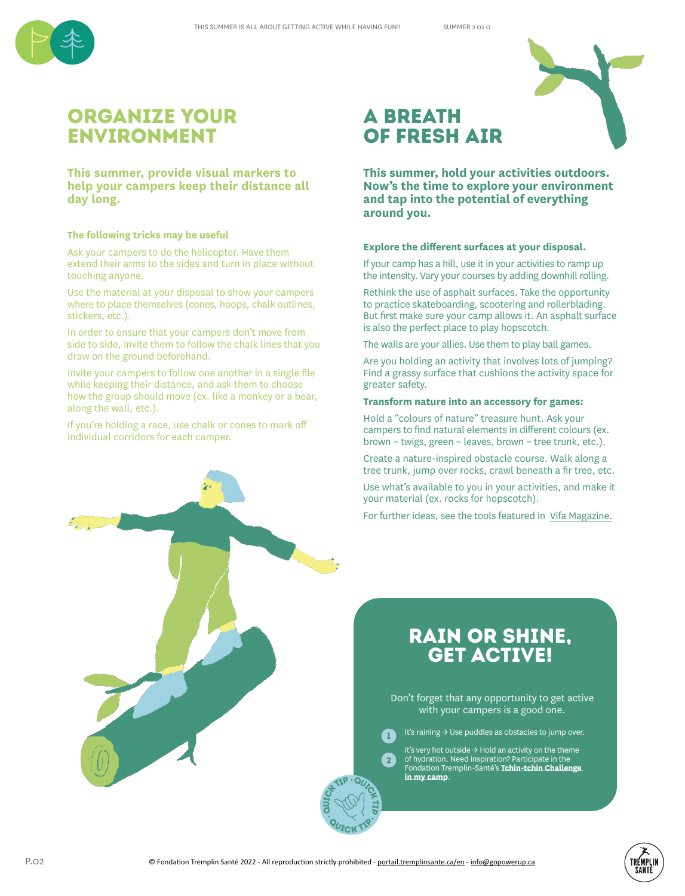

# organize your environment

**This summer, provide visual markers to help your campers keep their distance all day long.**

#### **The following tricks may be useful**

Ask your campers to do the helicopter. Have them extend their arms to the sides and turn in place without touching anyone.

Use the material at your disposal to show your campers where to place themselves (cones, hoops, chalk outlines, stickers, etc.).

In order to ensure that your campers don't move from side to side, invite them to follow the chalk lines that you draw on the ground beforehand.

Invite your campers to follow one another in a single file while keeping their distance, and ask them to choose how the group should move (ex. like a monkey or a bear, along the wall, etc.).

If you're holding a race, use chalk or cones to mark off individual corridors for each camper.

# a breath of fresh air

**This summer, hold your activities outdoors. Now's the time to explore your environment and tap into the potential of everything around you.**

## **Explore the different surfaces at your disposal.**

If your camp has a hill, use it in your activities to ramp up the intensity. Vary your courses by adding downhill rolling.

Rethink the use of asphalt surfaces. Take the opportunity to practice skateboarding, scootering and rollerblading. But first make sure your camp allows it. An asphalt surface is also the perfect place to play hopscotch.

The walls are your allies. Use them to play ball games.

Are you holding an activity that involves lots of jumping? Find a grassy surface that cushions the activity space for greater safety.

### **Transform nature into an accessory for games:**

Hold a "colours of nature" treasure hunt. Ask your campers to find natural elements in different colours (ex. brown = twigs, green = leaves, brown = tree trunk, etc.).

Create a nature-inspired obstacle course. Walk along a tree trunk, jump over rocks, crawl beneath a fir tree, etc.

Use what's available to you in your activities, and make it your material (ex. rocks for hopscotch).

For further ideas, see the tools featured in Vifa Magazine.

# Rain or shine, get active!

Don't forget that any opportunity to get active with your campers is a good one.

It's raining → Use puddles as obstacles to jump over.

It's very hot outside  $\rightarrow$  Hold an activity on the theme of hydration. Need inspiration? Participate in the Fondation Tremplin-Santé's **Tchin-tchin Challenge in my camp**.





1

2

TIP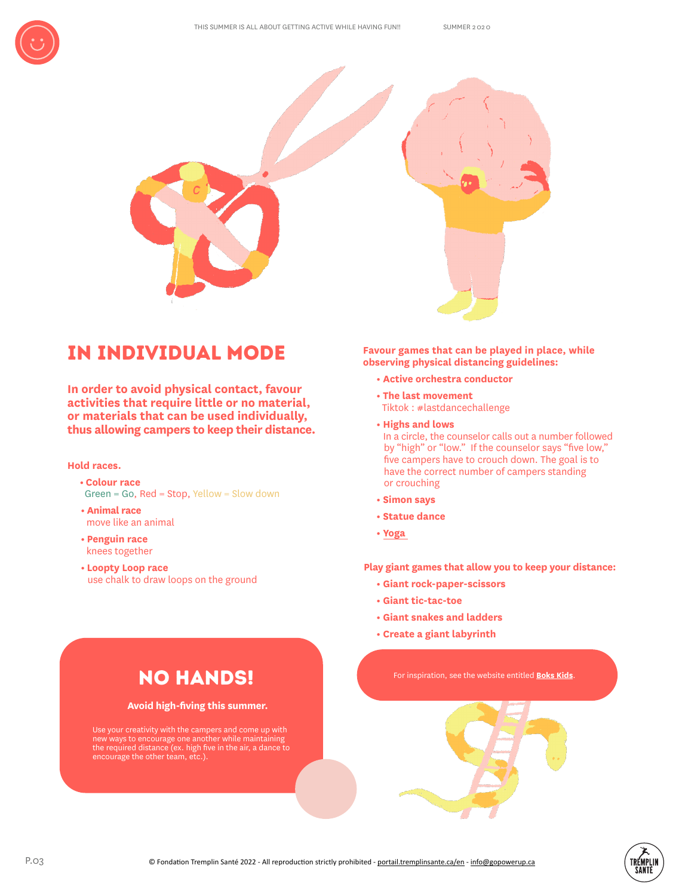

# IN individual mode

**In order to avoid physical contact, favour activities that require little or no material, or materials that can be used individually, thus allowing campers to keep their distance.**

# **Hold races.**

- **Colour race** Green = Go, Red = Stop, Yellow = Slow down
- **Animal race** move like an animal
- **Penguin race** knees together
- **Loopty Loop race** use chalk to draw loops on the ground

**Favour games that can be played in place, while observing physical distancing guidelines:**

- **Active orchestra conductor**
- **The last movement** Tiktok : #lastdancechallenge
- **Highs and lows** In a circle, the counselor calls out a number followed by "high" or "low." If the counselor says "five low," five campers have to crouch down. The goal is to have the correct number of campers standing
	- or crouching **• Simon says**
- **Statue dance**
- **Yoga**

**Play giant games that allow you to keep your distance:**

- **Giant rock-paper-scissors**
- **Giant tic-tac-toe**
- **Giant snakes and ladders**
- **Create a giant labyrinth**

# For inspiration, see the website entitled **Boks Kids**.

# No hands!

# **Avoid high-fiving this summer.**

Use your creativity with the campers and come up with new ways to encourage one another while maintaining the required distance (ex. high five in the air, a dance to encourage the other team, etc.).

> TRÉMPLII **SANTI**

QUICKTIP